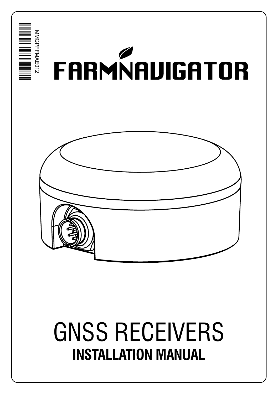

# GNSS RECEIVERS **INSTALLATION MANUAL**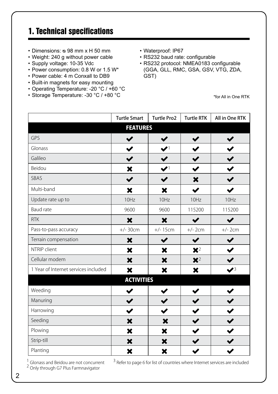# 1. Technical specifications

- Dimensions: ᴓ 98 mm x H 50 mm
- Weight: 240 g without power cable
- Supply voltage: 10-35 Vdc
- Power consumption: 0.8 W or 1.5 W\*
- Power cable: 4 m Conxall to DB9
- Built-in magnets for easy mounting
- Operating Temperature: -20 °C / +60 °C
- Storage Temperature: -30 °C / +80 °C
- Waterproof: IP67
- RS232 baud rate: configurable
- RS232 protocol: NMEA0183 configurable (GGA, GLL, RMC, GSA, GSV, VTG, ZDA, GST)

\*for All in One RTK

|                                      | <b>Turtle Smart</b> | <b>Turtle Pro2</b>     | <b>Turtle RTK</b>    | All in One RTK         |
|--------------------------------------|---------------------|------------------------|----------------------|------------------------|
|                                      | <b>FEATURES</b>     |                        |                      |                        |
| GPS                                  | ✔                   | ✔                      |                      |                        |
| Glonass                              |                     | $\blacktriangledown$ 1 |                      |                        |
| Galileo                              | ✔                   |                        |                      |                        |
| Beidou                               | ×                   | $\blacktriangledown$   |                      |                        |
| SBAS                                 |                     |                        | X                    |                        |
| Multi-band                           | ×                   | ×                      |                      |                        |
| Update rate up to                    | 10Hz                | 10Hz                   | 10Hz                 | 10Hz                   |
| Baud rate                            | 9600                | 9600                   | 115200               | 115200                 |
| <b>RTK</b>                           | ×                   | ×                      | $\blacktriangledown$ |                        |
| Pass-to-pass accuracy                | $+/- 30cm$          | $+/- 15cm$             | $+/- 2cm$            | $+/-$ 2cm              |
| Terrain compensation                 | ×                   | ✔                      | ✔                    |                        |
| NTRIP client                         | ×                   | ×                      | $\mathbf{X}^2$       |                        |
| Cellular modem                       | ×                   | ×                      | $\mathbf{X}^2$       |                        |
| 1 Year of Internet services included | ×                   | ×                      | ×                    | $\blacktriangledown^3$ |
|                                      | <b>ACTIVITIES</b>   |                        |                      |                        |
| Weeding                              |                     |                        |                      |                        |
| Manuring                             | ✔                   |                        | $\blacktriangledown$ |                        |
| Harrowing                            | ✔                   | $\checkmark$           | $\checkmark$         |                        |
| Seeding                              | ×                   | ×                      | $\checkmark$         |                        |
| Plowing                              | ×                   | ×                      |                      |                        |
| Strip-till                           | ×                   | ×                      |                      |                        |
| Planting                             | ×                   | ×                      |                      |                        |

<sup>1</sup> Glonass and Beidou are not concurrent <sup>2</sup> Only through G7 Plus Farmnavigator

<sup>3</sup> Refer to page 6 for list of countries where Internet services are included

2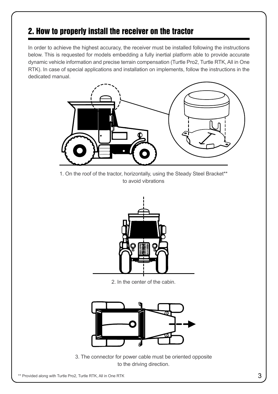# 2. How to properly install the receiver on the tractor

In order to achieve the highest accuracy, the receiver must be installed following the instructions below. This is requested for models embedding a fully inertial platform able to provide accurate dynamic vehicle information and precise terrain compensation (Turtle Pro2, Turtle RTK, All in One RTK). In case of special applications and installation on implements, follow the instructions in the dedicated manual.



1. On the roof of the tractor, horizontally, using the Steady Steel Bracket\*\* to avoid vibrations



2. In the center of the cabin.



3. The connector for power cable must be oriented opposite to the driving direction.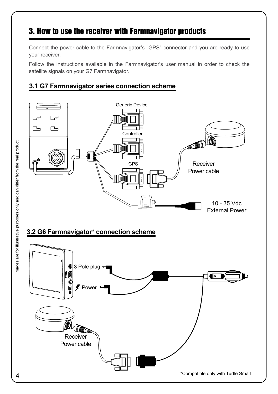# 3. How to use the receiver with Farmnavigator products

Connect the power cable to the Farmnavigator's "GPS" connector and you are ready to use your receiver.

Follow the instructions available in the Farmnavigator's user manual in order to check the satellite signals on your G7 Farmnavigator.

#### **3.1 G7 Farmnavigator series connection scheme**

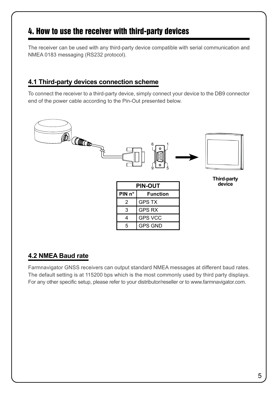### 4. How to use the receiver with third-party devices

The receiver can be used with any third-party device compatible with serial communication and NMEA 0183 messaging (RS232 protocol).

#### **4.1 Third-party devices connection scheme**

To connect the receiver to a third-party device, simply connect your device to the DB9 connector end of the power cable according to the Pin-Out presented below.



#### **4.2 NMEA Baud rate**

Farmnavigator GNSS receivers can output standard NMEA messages at different baud rates. The default setting is at 115200 bps which is the most commonly used by third party displays. For any other specific setup, please refer to your distributor/reseller or to www.farmnavigator.com.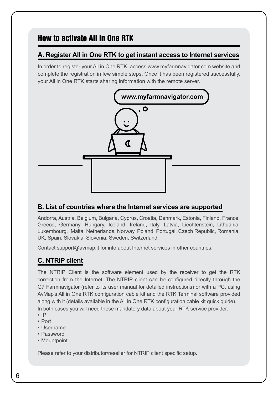# How to activate All in One RTK

#### **A. Register All in One RTK to get instant access to Internet services**

In order to register your All in One RTK, access www.myfarmnavigator.com website and complete the registration in few simple steps. Once it has been registered successfully, your All in One RTK starts sharing information with the remote server.



#### **B. List of countries where the Internet services are supported**

Andorra, Austria, Belgium, Bulgaria, Cyprus, Croatia, Denmark, Estonia, Finland, France, Greece, Germany, Hungary, Iceland, Ireland, Italy, Latvia, Liechtenstein, Lithuania, Luxembourg, Malta, Netherlands, Norway, Poland, Portugal, Czech Republic, Romania, UK, Spain, Slovakia, Slovenia, Sweden, Switzerland.

Contact support@avmap.it for info about Internet services in other countries.

#### **C. NTRIP client**

The NTRIP Client is the software element used by the receiver to get the RTK correction from the Internet. The NTRIP client can be configured directly through the G7 Farmnavigator (refer to its user manual for detailed instructions) or with a PC, using AvMap's All in One RTK configuration cable kit and the RTK Terminal software provided along with it (details available in the All in One RTK configuration cable kit quick guide). In both cases you will need these mandatory data about your RTK service provider:

- IP
- Port
- Username
- Password
- Mountpoint

Please refer to your distributor/reseller for NTRIP client specific setup.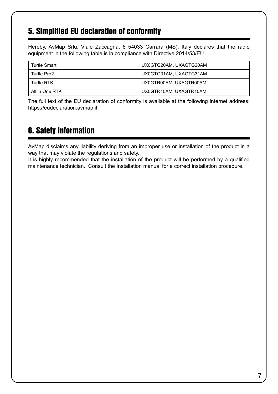### 5. Simplified EU declaration of conformity

Hereby, AvMap Srlu, Viale Zaccagna, 6 54033 Carrara (MS), Italy declares that the radio equipment in the following table is in compliance with Directive 2014/53/EU.

| <b>Turtle Smart</b> | UX0GTG20AM, UXAGTG20AM |
|---------------------|------------------------|
| Turtle Pro2         | UX0GTG31AM, UXAGTG31AM |
| <b>Turtle RTK</b>   | UX0GTR00AM, UXAGTR00AM |
| All in One RTK      | UX0GTR10AM, UXAGTR10AM |

The full text of the EU declaration of conformity is available at the following internet address: https://eudeclaration.avmap.it

# 6. Safety Information

AvMap disclaims any liability deriving from an improper use or installation of the product in a way that may violate the regulations and safety.

It is highly recommended that the installation of the product will be performed by a qualified maintenance technician. Consult the Installation manual for a correct installation procedure.